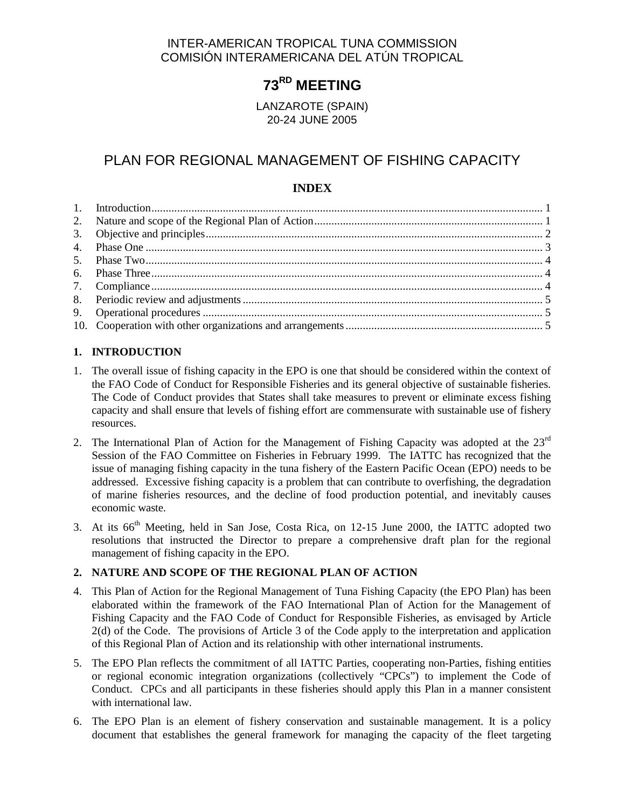# INTER-AMERICAN TROPICAL TUNA COMMISSION COMISIÓN INTERAMERICANA DEL ATÚN TROPICAL

# **73RD MEETING**

LANZAROTE (SPAIN) 20-24 JUNE 2005

# PLAN FOR REGIONAL MANAGEMENT OF FISHING CAPACITY

# **INDEX**

# **1. INTRODUCTION**

- 1. The overall issue of fishing capacity in the EPO is one that should be considered within the context of the FAO Code of Conduct for Responsible Fisheries and its general objective of sustainable fisheries. The Code of Conduct provides that States shall take measures to prevent or eliminate excess fishing capacity and shall ensure that levels of fishing effort are commensurate with sustainable use of fishery resources.
- 2. The International Plan of Action for the Management of Fishing Capacity was adopted at the  $23<sup>rd</sup>$ Session of the FAO Committee on Fisheries in February 1999. The IATTC has recognized that the issue of managing fishing capacity in the tuna fishery of the Eastern Pacific Ocean (EPO) needs to be addressed. Excessive fishing capacity is a problem that can contribute to overfishing, the degradation of marine fisheries resources, and the decline of food production potential, and inevitably causes economic waste.
- 3. At its 66<sup>th</sup> Meeting, held in San Jose, Costa Rica, on 12-15 June 2000, the IATTC adopted two resolutions that instructed the Director to prepare a comprehensive draft plan for the regional management of fishing capacity in the EPO.

# **2. NATURE AND SCOPE OF THE REGIONAL PLAN OF ACTION**

- 4. This Plan of Action for the Regional Management of Tuna Fishing Capacity (the EPO Plan) has been elaborated within the framework of the FAO International Plan of Action for the Management of Fishing Capacity and the FAO Code of Conduct for Responsible Fisheries, as envisaged by Article 2(d) of the Code. The provisions of Article 3 of the Code apply to the interpretation and application of this Regional Plan of Action and its relationship with other international instruments.
- 5. The EPO Plan reflects the commitment of all IATTC Parties, cooperating non-Parties, fishing entities or regional economic integration organizations (collectively "CPCs") to implement the Code of Conduct. CPCs and all participants in these fisheries should apply this Plan in a manner consistent with international law.
- 6. The EPO Plan is an element of fishery conservation and sustainable management. It is a policy document that establishes the general framework for managing the capacity of the fleet targeting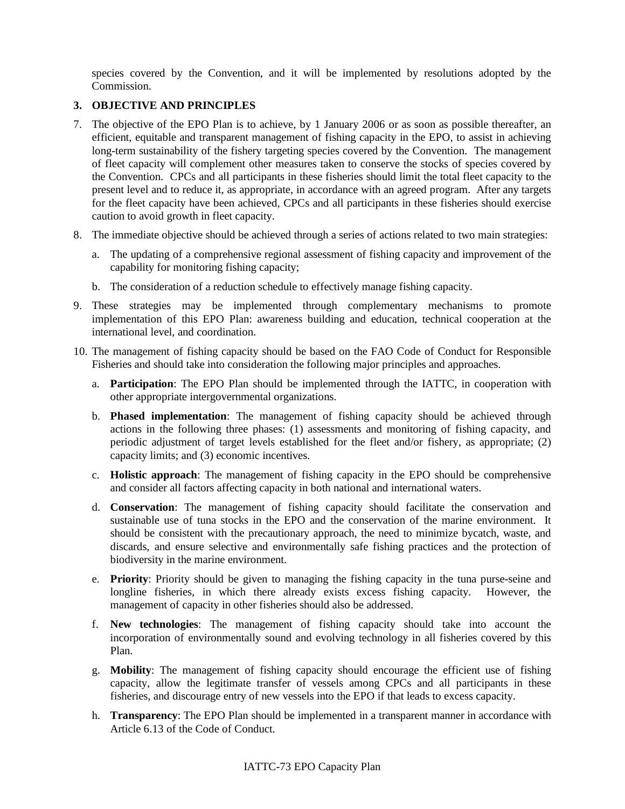species covered by the Convention, and it will be implemented by resolutions adopted by the Commission.

# **3. OBJECTIVE AND PRINCIPLES**

- 7. The objective of the EPO Plan is to achieve, by 1 January 2006 or as soon as possible thereafter, an efficient, equitable and transparent management of fishing capacity in the EPO, to assist in achieving long-term sustainability of the fishery targeting species covered by the Convention. The management of fleet capacity will complement other measures taken to conserve the stocks of species covered by the Convention. CPCs and all participants in these fisheries should limit the total fleet capacity to the present level and to reduce it, as appropriate, in accordance with an agreed program. After any targets for the fleet capacity have been achieved, CPCs and all participants in these fisheries should exercise caution to avoid growth in fleet capacity.
- 8. The immediate objective should be achieved through a series of actions related to two main strategies:
	- a. The updating of a comprehensive regional assessment of fishing capacity and improvement of the capability for monitoring fishing capacity;
	- b. The consideration of a reduction schedule to effectively manage fishing capacity.
- 9. These strategies may be implemented through complementary mechanisms to promote implementation of this EPO Plan: awareness building and education, technical cooperation at the international level, and coordination.
- 10. The management of fishing capacity should be based on the FAO Code of Conduct for Responsible Fisheries and should take into consideration the following major principles and approaches.
	- a. **Participation**: The EPO Plan should be implemented through the IATTC, in cooperation with other appropriate intergovernmental organizations.
	- b. **Phased implementation**: The management of fishing capacity should be achieved through actions in the following three phases: (1) assessments and monitoring of fishing capacity, and periodic adjustment of target levels established for the fleet and/or fishery, as appropriate; (2) capacity limits; and (3) economic incentives.
	- c. **Holistic approach**: The management of fishing capacity in the EPO should be comprehensive and consider all factors affecting capacity in both national and international waters.
	- d. **Conservation**: The management of fishing capacity should facilitate the conservation and sustainable use of tuna stocks in the EPO and the conservation of the marine environment. It should be consistent with the precautionary approach, the need to minimize bycatch, waste, and discards, and ensure selective and environmentally safe fishing practices and the protection of biodiversity in the marine environment.
	- e. **Priority**: Priority should be given to managing the fishing capacity in the tuna purse-seine and longline fisheries, in which there already exists excess fishing capacity. However, the management of capacity in other fisheries should also be addressed.
	- f. **New technologies**: The management of fishing capacity should take into account the incorporation of environmentally sound and evolving technology in all fisheries covered by this Plan.
	- g. **Mobility**: The management of fishing capacity should encourage the efficient use of fishing capacity, allow the legitimate transfer of vessels among CPCs and all participants in these fisheries, and discourage entry of new vessels into the EPO if that leads to excess capacity.
	- h. **Transparency**: The EPO Plan should be implemented in a transparent manner in accordance with Article 6.13 of the Code of Conduct.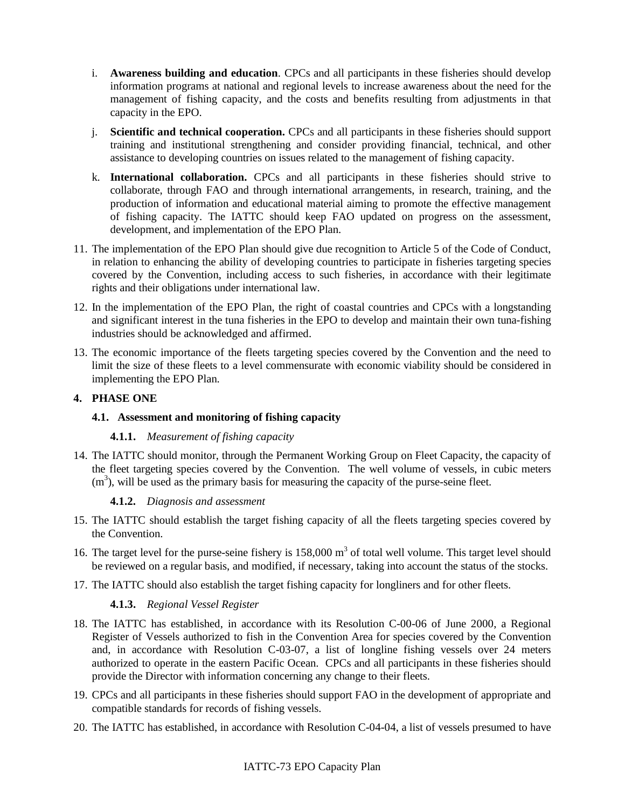- i. **Awareness building and education**. CPCs and all participants in these fisheries should develop information programs at national and regional levels to increase awareness about the need for the management of fishing capacity, and the costs and benefits resulting from adjustments in that capacity in the EPO.
- j. **Scientific and technical cooperation.** CPCs and all participants in these fisheries should support training and institutional strengthening and consider providing financial, technical, and other assistance to developing countries on issues related to the management of fishing capacity.
- k. **International collaboration.** CPCs and all participants in these fisheries should strive to collaborate, through FAO and through international arrangements, in research, training, and the production of information and educational material aiming to promote the effective management of fishing capacity. The IATTC should keep FAO updated on progress on the assessment, development, and implementation of the EPO Plan.
- 11. The implementation of the EPO Plan should give due recognition to Article 5 of the Code of Conduct, in relation to enhancing the ability of developing countries to participate in fisheries targeting species covered by the Convention, including access to such fisheries, in accordance with their legitimate rights and their obligations under international law.
- 12. In the implementation of the EPO Plan, the right of coastal countries and CPCs with a longstanding and significant interest in the tuna fisheries in the EPO to develop and maintain their own tuna-fishing industries should be acknowledged and affirmed.
- 13. The economic importance of the fleets targeting species covered by the Convention and the need to limit the size of these fleets to a level commensurate with economic viability should be considered in implementing the EPO Plan.

# **4. PHASE ONE**

# **4.1. Assessment and monitoring of fishing capacity**

#### **4.1.1.** *Measurement of fishing capacity*

14. The IATTC should monitor, through the Permanent Working Group on Fleet Capacity, the capacity of the fleet targeting species covered by the Convention. The well volume of vessels, in cubic meters  $(m<sup>3</sup>)$ , will be used as the primary basis for measuring the capacity of the purse-seine fleet.

# **4.1.2.** *Diagnosis and assessment*

- 15. The IATTC should establish the target fishing capacity of all the fleets targeting species covered by the Convention.
- 16. The target level for the purse-seine fishery is  $158,000 \text{ m}^3$  of total well volume. This target level should be reviewed on a regular basis, and modified, if necessary, taking into account the status of the stocks.
- 17. The IATTC should also establish the target fishing capacity for longliners and for other fleets.

# **4.1.3.** *Regional Vessel Register*

- 18. The IATTC has established, in accordance with its Resolution C-00-06 of June 2000, a Regional Register of Vessels authorized to fish in the Convention Area for species covered by the Convention and, in accordance with Resolution C-03-07, a list of longline fishing vessels over 24 meters authorized to operate in the eastern Pacific Ocean. CPCs and all participants in these fisheries should provide the Director with information concerning any change to their fleets.
- 19. CPCs and all participants in these fisheries should support FAO in the development of appropriate and compatible standards for records of fishing vessels.
- 20. The IATTC has established, in accordance with Resolution C-04-04, a list of vessels presumed to have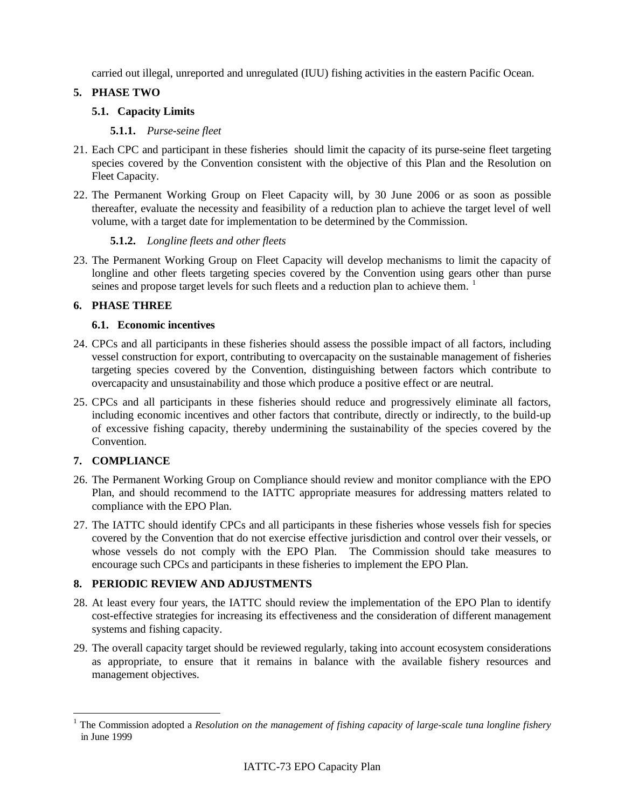carried out illegal, unreported and unregulated (IUU) fishing activities in the eastern Pacific Ocean.

#### **5. PHASE TWO**

#### **5.1. Capacity Limits**

#### **5.1.1.** *Purse-seine fleet*

- 21. Each CPC and participant in these fisheries should limit the capacity of its purse-seine fleet targeting species covered by the Convention consistent with the objective of this Plan and the Resolution on Fleet Capacity.
- 22. The Permanent Working Group on Fleet Capacity will, by 30 June 2006 or as soon as possible thereafter, evaluate the necessity and feasibility of a reduction plan to achieve the target level of well volume, with a target date for implementation to be determined by the Commission.

#### **5.1.2.** *Longline fleets and other fleets*

23. The Permanent Working Group on Fleet Capacity will develop mechanisms to limit the capacity of longline and other fleets targeting species covered by the Convention using gears other than purse seines and propose target levels for such fleets and a reduction plan to achieve them.  $1$ 

#### **6. PHASE THREE**

#### **6.1. Economic incentives**

- 24. CPCs and all participants in these fisheries should assess the possible impact of all factors, including vessel construction for export, contributing to overcapacity on the sustainable management of fisheries targeting species covered by the Convention, distinguishing between factors which contribute to overcapacity and unsustainability and those which produce a positive effect or are neutral.
- 25. CPCs and all participants in these fisheries should reduce and progressively eliminate all factors, including economic incentives and other factors that contribute, directly or indirectly, to the build-up of excessive fishing capacity, thereby undermining the sustainability of the species covered by the Convention.

# **7. COMPLIANCE**

- 26. The Permanent Working Group on Compliance should review and monitor compliance with the EPO Plan, and should recommend to the IATTC appropriate measures for addressing matters related to compliance with the EPO Plan.
- 27. The IATTC should identify CPCs and all participants in these fisheries whose vessels fish for species covered by the Convention that do not exercise effective jurisdiction and control over their vessels, or whose vessels do not comply with the EPO Plan. The Commission should take measures to encourage such CPCs and participants in these fisheries to implement the EPO Plan.

# **8. PERIODIC REVIEW AND ADJUSTMENTS**

- 28. At least every four years, the IATTC should review the implementation of the EPO Plan to identify cost-effective strategies for increasing its effectiveness and the consideration of different management systems and fishing capacity.
- 29. The overall capacity target should be reviewed regularly, taking into account ecosystem considerations as appropriate, to ensure that it remains in balance with the available fishery resources and management objectives.

<span id="page-3-0"></span><sup>&</sup>lt;sup>1</sup> The Commission adopted a *Resolution on the management of fishing capacity of large-scale tuna longline fishery* in June 1999